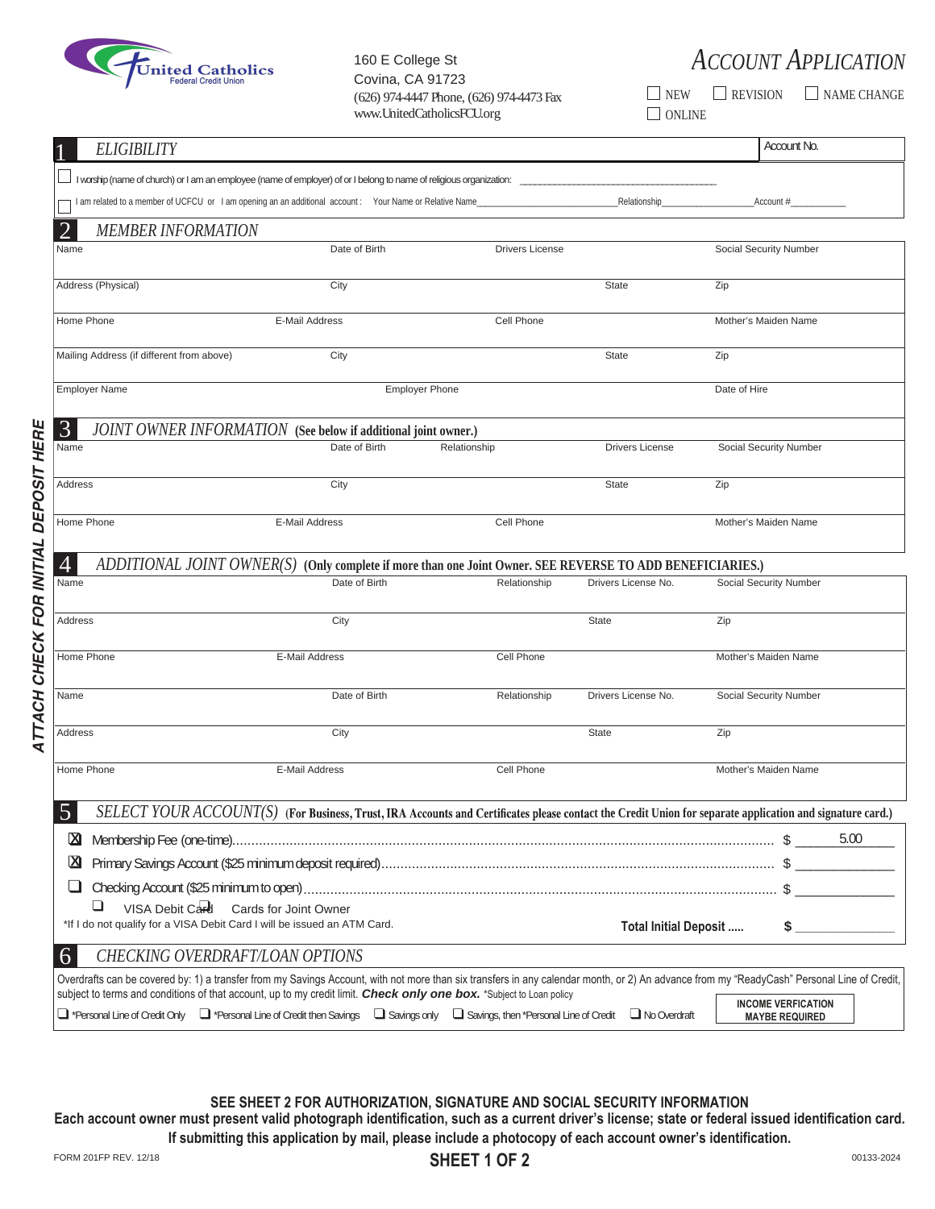

Covina, CA 91723 www.UnitedCatholicsFCU.org ONLINE

160 E College St *ACCOUNT APPLICATION*

 $(626)$  974-4447 Phone,  $(626)$  974-4473 Fax  $\Box$  NEW  $\Box$  REVISION  $\Box$  NAME CHANGE

| I worship (name of church) or I am an employee (name of employer) of or I belong to name of religious organization:                                                                                                                                                                            |                                                                                                           |                        |                        |                                                                                                                                                                                            |
|------------------------------------------------------------------------------------------------------------------------------------------------------------------------------------------------------------------------------------------------------------------------------------------------|-----------------------------------------------------------------------------------------------------------|------------------------|------------------------|--------------------------------------------------------------------------------------------------------------------------------------------------------------------------------------------|
|                                                                                                                                                                                                                                                                                                |                                                                                                           |                        |                        |                                                                                                                                                                                            |
| I am related to a member of UCFCU or I am opening an an additional account: Your Name or Relative Name                                                                                                                                                                                         |                                                                                                           |                        | Relationship           | Account #                                                                                                                                                                                  |
| $\overline{2}$<br><b>MEMBER INFORMATION</b>                                                                                                                                                                                                                                                    |                                                                                                           |                        |                        |                                                                                                                                                                                            |
| Name                                                                                                                                                                                                                                                                                           | Date of Birth                                                                                             | <b>Drivers License</b> |                        | Social Security Number                                                                                                                                                                     |
|                                                                                                                                                                                                                                                                                                |                                                                                                           |                        |                        |                                                                                                                                                                                            |
| Address (Physical)                                                                                                                                                                                                                                                                             | City                                                                                                      |                        | <b>State</b>           | Zip                                                                                                                                                                                        |
| Home Phone                                                                                                                                                                                                                                                                                     | E-Mail Address                                                                                            | Cell Phone             |                        | Mother's Maiden Name                                                                                                                                                                       |
| Mailing Address (if different from above)                                                                                                                                                                                                                                                      | City                                                                                                      |                        | <b>State</b>           | Zip                                                                                                                                                                                        |
| <b>Employer Name</b>                                                                                                                                                                                                                                                                           |                                                                                                           | <b>Employer Phone</b>  |                        | Date of Hire                                                                                                                                                                               |
| 3                                                                                                                                                                                                                                                                                              | JOINT OWNER INFORMATION (See below if additional joint owner.)                                            |                        |                        |                                                                                                                                                                                            |
| Name                                                                                                                                                                                                                                                                                           | Date of Birth                                                                                             | Relationship           | <b>Drivers License</b> | Social Security Number                                                                                                                                                                     |
| Address                                                                                                                                                                                                                                                                                        | City                                                                                                      |                        | State                  | Zip                                                                                                                                                                                        |
| Home Phone                                                                                                                                                                                                                                                                                     | E-Mail Address                                                                                            | Cell Phone             |                        | Mother's Maiden Name                                                                                                                                                                       |
| $\overline{4}$                                                                                                                                                                                                                                                                                 | ADDITIONAL JOINT OWNER(S) (Only complete if more than one Joint Owner. SEE REVERSE TO ADD BENEFICIARIES.) |                        |                        |                                                                                                                                                                                            |
| Name                                                                                                                                                                                                                                                                                           | Date of Birth                                                                                             | Relationship           | Drivers License No.    | Social Security Number                                                                                                                                                                     |
| Address                                                                                                                                                                                                                                                                                        | City                                                                                                      |                        | <b>State</b>           | Zip                                                                                                                                                                                        |
| Home Phone                                                                                                                                                                                                                                                                                     | E-Mail Address                                                                                            | Cell Phone             |                        | Mother's Maiden Name                                                                                                                                                                       |
| Name                                                                                                                                                                                                                                                                                           | Date of Birth                                                                                             | Relationship           | Drivers License No.    | Social Security Number                                                                                                                                                                     |
| Address                                                                                                                                                                                                                                                                                        | City                                                                                                      |                        | <b>State</b>           | Zip                                                                                                                                                                                        |
| Home Phone                                                                                                                                                                                                                                                                                     | E-Mail Address                                                                                            | Cell Phone             |                        | Mother's Maiden Name                                                                                                                                                                       |
| $\overline{J}$                                                                                                                                                                                                                                                                                 |                                                                                                           |                        |                        | SELECT YOUR ACCOUNT(S) (For Business, Trust, IRA Accounts and Certificates please contact the Credit Union for separate application and signature card.)                                   |
| $\mathbf{Z}$                                                                                                                                                                                                                                                                                   |                                                                                                           |                        |                        | 5.00                                                                                                                                                                                       |
| ⊠                                                                                                                                                                                                                                                                                              |                                                                                                           |                        |                        |                                                                                                                                                                                            |
|                                                                                                                                                                                                                                                                                                |                                                                                                           |                        |                        |                                                                                                                                                                                            |
| ⊔<br>VISA Debit Card Cards for Joint Owner<br>*If I do not qualify for a VISA Debit Card I will be issued an ATM Card.                                                                                                                                                                         |                                                                                                           |                        | Total Initial Deposit  | $\frac{1}{2}$                                                                                                                                                                              |
| 6<br><b>CHECKING OVERDRAFT/LOAN OPTIONS</b>                                                                                                                                                                                                                                                    |                                                                                                           |                        |                        |                                                                                                                                                                                            |
|                                                                                                                                                                                                                                                                                                |                                                                                                           |                        |                        | Overdrafts can be covered by: 1) a transfer from my Savings Account, with not more than six transfers in any calendar month, or 2) An advance from my "ReadyCash" Personal Line of Credit, |
| subject to terms and conditions of that account, up to my credit limit. Check only one box. *Subject to Loan policy<br>$\Box$ *Personal Line of Credit Only $\Box$ *Personal Line of Credit then Savings $\Box$ Savings only $\Box$ Savings, then *Personal Line of Credit $\Box$ No Overdraft |                                                                                                           |                        |                        | <b>INCOME VERFICATION</b><br><b>MAYBE REQUIRED</b>                                                                                                                                         |

**SEE SHEET 2 FOR AUTHORIZATION, SIGNATURE AND SOCIAL SECURITY INFORMATION Each account owner must present valid photograph identification, such as a current driver's license; state or federal issued identification card. If submitting this application by mail, please include a photocopy of each account owner's identification.**

 *ATTACH CHECK FOR INITIAL DEPOSIT HERE*

ATTACH CHECK FOR INITIAL DEPOSIT HERE